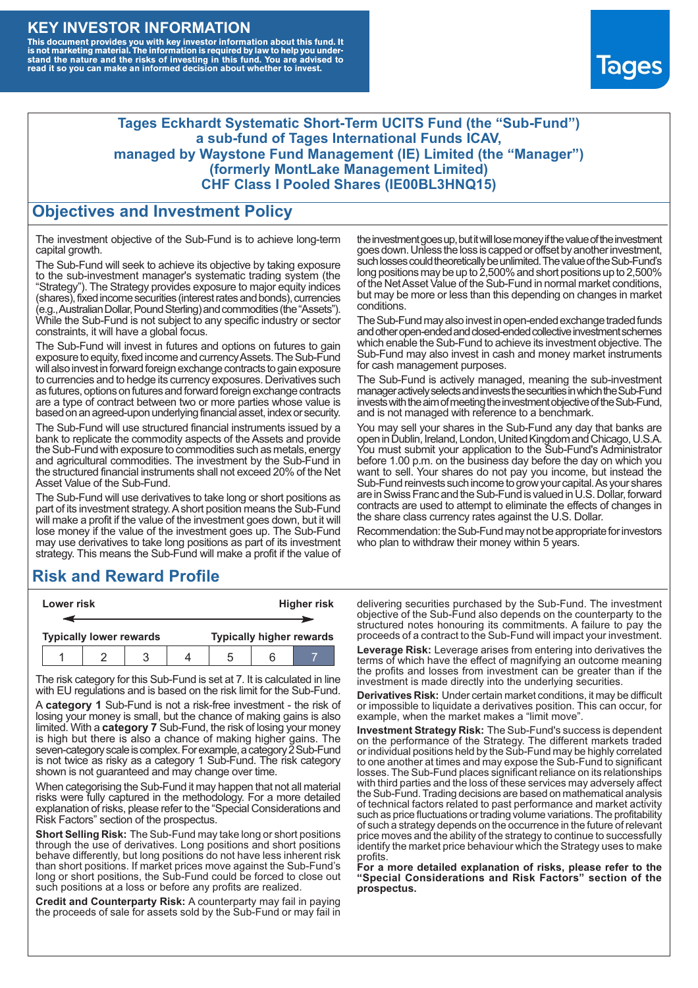#### **KEY INVESTOR INFORMATION**

This document provides you with key investor information about this fund. It<br>is not marketing material. The information is required by law to help you under-<br>stand the nature and the risks of investing in this fund. You ar



#### **Tages Eckhardt Systematic Short-Term UCITS Fund (the "Sub-Fund") a sub-fund of Tages International Funds ICAV, managed by Waystone Fund Management (IE) Limited (the "Manager") (formerly MontLake Management Limited) CHF Class I Pooled Shares (IE00BL3HNQ15)**

#### **Objectives and Investment Policy**

The investment objective of the Sub-Fund is to achieve long-term capital growth.

The Sub-Fund will seek to achieve its objective by taking exposure to the sub-investment manager's systematic trading system (the "Strategy"). The Strategy provides exposure to major equity indices (shares),fixed income securities (interest rates and bonds), currencies (e.g.,AustralianDollar,PoundSterling)and commodities (the "Assets"). While the Sub-Fund is not subject to any specific industry or sector constraints, it will have a global focus.

The Sub-Fund will invest in futures and options on futures to gain exposure to equity, fixed income and currency Assets. The Sub-Fund will also invest in forward foreign exchange contracts to gain exposure to currencies and to hedge its currency exposures. Derivatives such as futures, options on futures and forward foreign exchange contracts are a type of contract between two or more parties whose value is based on an agreed-upon underlying financial asset, index or security.

The Sub-Fund will use structured financial instruments issued by a bank to replicate the commodity aspects of the Assets and provide the Sub-Fund with exposure to commodities such as metals, energy and agricultural commodities. The investment by the Sub-Fund in the structured financial instruments shall not exceed 20% of the Net Asset Value of the Sub-Fund.

The Sub-Fund will use derivatives to take long or short positions as part of its investment strategy.A short position means the Sub-Fund will make a profit if the value of the investment goes down, but it will lose money if the value of the investment goes up. The Sub-Fund may use derivatives to take long positions as part of its investment strategy. This means the Sub-Fund will make a profit if the value of

## **Risk and Reward Profile**

|  | Lower risk |                                |  |  | <b>Higher risk</b> |  |                                 |
|--|------------|--------------------------------|--|--|--------------------|--|---------------------------------|
|  |            |                                |  |  |                    |  |                                 |
|  |            | <b>Typically lower rewards</b> |  |  |                    |  | <b>Typically higher rewards</b> |
|  |            |                                |  |  | :h                 |  |                                 |

The risk category for this Sub-Fund is set at 7. It is calculated in line with EU regulations and is based on the risk limit for the Sub-Fund.

A **category 1** Sub-Fund is not a risk-free investment - the risk of losing your money is small, but the chance of making gains is also limited. With a **category 7** Sub-Fund, the risk of losing your money is high but there is also a chance of making higher gains. The seven-category scale is complex. For example, a category 2 Sub-Fund is not twice as risky as a category 1 Sub-Fund. The risk category shown is not guaranteed and may change over time.

When categorising the Sub-Fund it may happen that not all material risks were fully captured in the methodology. For a more detailed explanation of risks, please refer to the "Special Considerations and Risk Factors" section of the prospectus.

**Short Selling Risk:** The Sub-Fund may take long or short positions through the use of derivatives. Long positions and short positions behave differently, but long positions do not have less inherent risk than short positions. If market prices move against the Sub-Fund's long or short positions, the Sub-Fund could be forced to close out such positions at a loss or before any profits are realized.

**Credit and Counterparty Risk:** A counterparty may fail in paying the proceeds of sale for assets sold by the Sub-Fund or may fail in the investment goes up, but it will lose money if the value of the investment goes down. Unlessthe loss is capped or offset by another investment, such losses could theoretically be unlimited. The value of the Sub-Fund's long positions may be up to  $2,500\%$  and short positions up to  $2,500\%$ of the NetAsset Value of the Sub-Fund in normal market conditions, but may be more or less than this depending on changes in market conditions.

The Sub-Fund may also invest in open-ended exchange traded funds and other open-ended and closed-ended collective investment schemes which enable the Sub-Fund to achieve its investment objective. The Sub-Fund may also invest in cash and money market instruments for cash management purposes.

The Sub-Fund is actively managed, meaning the sub-investment manager actively selects and invests the securities in which the Sub-Fund invests with the aim of meeting the investment objective of the Sub-Fund, and is not managed with reference to a benchmark.

You may sell your shares in the Sub-Fund any day that banks are open in Dublin, Ireland, London, United Kingdom and Chicago, U.S.A. You must submit your application to the Sub-Fund's Administrator before 1.00 p.m. on the business day before the day on which you want to sell. Your shares do not pay you income, but instead the Sub-Fund reinvests such income to grow your capital. As your shares are in Swiss Franc and the Sub-Fund is valued in U.S. Dollar, forward contracts are used to attempt to eliminate the effects of changes in the share class currency rates against the U.S. Dollar.

Recommendation: the Sub-Fund may not be appropriate for investors who plan to withdraw their money within 5 years.

delivering securities purchased by the Sub-Fund. The investment objective of the Sub-Fund also depends on the counterparty to the structured notes honouring its commitments. A failure to pay the proceeds of a contract to the Sub-Fund will impact your investment.

**Leverage Risk:** Leverage arises from entering into derivatives the terms of which have the effect of magnifying an outcome meaning the profits and losses from investment can be greater than if the investment is made directly into the underlying securities.

**Derivatives Risk:** Under certain market conditions, it may be difficult or impossible to liquidate a derivatives position. This can occur, for example, when the market makes a "limit move".

**Investment Strategy Risk:** The Sub-Fund's success is dependent on the performance of the Strategy. The different markets traded or individual positions held by the Sub-Fund may be highly correlated to one another at times and may expose the Sub-Fund to significant losses. The Sub-Fund places significant reliance on its relationships with third parties and the loss of these services may adversely affect the Sub-Fund. Trading decisions are based on mathematical analysis of technical factors related to past performance and market activity such as price fluctuations or trading volume variations. The profitability of such a strategy depends on the occurrence in the future of relevant price moves and the ability of the strategy to continue to successfully identify the market price behaviour which the Strategy uses to make profits.

**For a more detailed explanation of risks, please refer to the "Special Considerations and Risk Factors" section of the prospectus.**